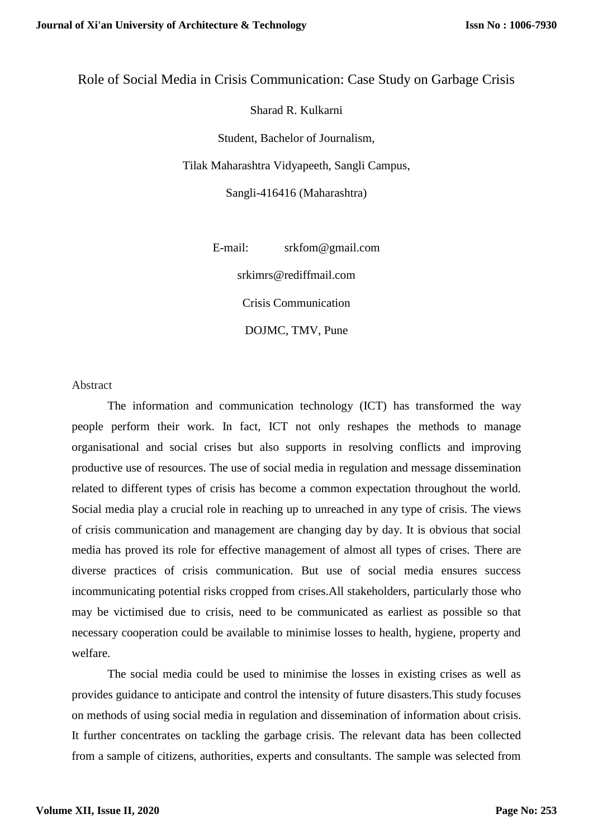# Role of Social Media in Crisis Communication: Case Study on Garbage Crisis

Sharad R. Kulkarni

Student, Bachelor of Journalism,

Tilak Maharashtra Vidyapeeth, Sangli Campus,

Sangli-416416 (Maharashtra)

E-mail: [srkfom@gmail.com](mailto:srkfom@gmail.com)

srkimrs@rediffmail.com

Crisis Communication

DOJMC, TMV, Pune

Abstract

The information and communication technology (ICT) has transformed the way people perform their work. In fact, ICT not only reshapes the methods to manage organisational and social crises but also supports in resolving conflicts and improving productive use of resources. The use of social media in regulation and message dissemination related to different types of crisis has become a common expectation throughout the world. Social media play a crucial role in reaching up to unreached in any type of crisis. The views of crisis communication and management are changing day by day. It is obvious that social media has proved its role for effective management of almost all types of crises. There are diverse practices of crisis communication. But use of social media ensures success incommunicating potential risks cropped from crises.All stakeholders, particularly those who may be victimised due to crisis, need to be communicated as earliest as possible so that necessary cooperation could be available to minimise losses to health, hygiene, property and welfare.

The social media could be used to minimise the losses in existing crises as well as provides guidance to anticipate and control the intensity of future disasters.This study focuses on methods of using social media in regulation and dissemination of information about crisis. It further concentrates on tackling the garbage crisis. The relevant data has been collected from a sample of citizens, authorities, experts and consultants. The sample was selected from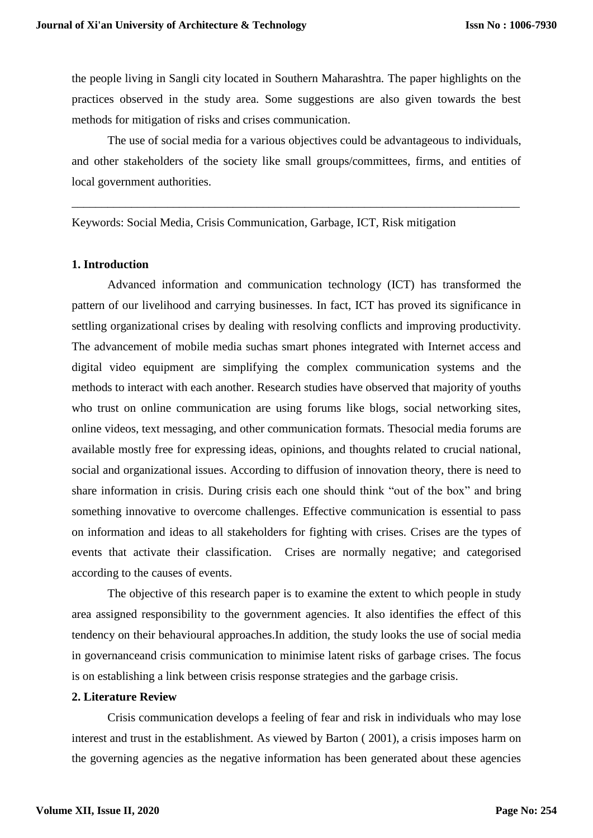the people living in Sangli city located in Southern Maharashtra. The paper highlights on the practices observed in the study area. Some suggestions are also given towards the best methods for mitigation of risks and crises communication.

The use of social media for a various objectives could be advantageous to individuals, and other stakeholders of the society like small groups/committees, firms, and entities of local government authorities.

\_\_\_\_\_\_\_\_\_\_\_\_\_\_\_\_\_\_\_\_\_\_\_\_\_\_\_\_\_\_\_\_\_\_\_\_\_\_\_\_\_\_\_\_\_\_\_\_\_\_\_\_\_\_\_\_\_\_\_\_\_\_\_\_\_\_\_\_\_\_\_\_\_\_\_

Keywords: Social Media, Crisis Communication, Garbage, ICT, Risk mitigation

#### **1. Introduction**

Advanced information and communication technology (ICT) has transformed the pattern of our livelihood and carrying businesses. In fact, ICT has proved its significance in settling organizational crises by dealing with resolving conflicts and improving productivity. The advancement of mobile media suchas smart phones integrated with Internet access and digital video equipment are simplifying the complex communication systems and the methods to interact with each another. Research studies have observed that majority of youths who trust on online communication are using forums like blogs, social networking sites, online videos, text messaging, and other communication formats. Thesocial media forums are available mostly free for expressing ideas, opinions, and thoughts related to crucial national, social and organizational issues. According to diffusion of innovation theory, there is need to share information in crisis. During crisis each one should think "out of the box" and bring something innovative to overcome challenges. Effective communication is essential to pass on information and ideas to all stakeholders for fighting with crises. Crises are the types of events that activate their classification. Crises are normally negative; and categorised according to the causes of events.

The objective of this research paper is to examine the extent to which people in study area assigned responsibility to the government agencies. It also identifies the effect of this tendency on their behavioural approaches.In addition, the study looks the use of social media in governanceand crisis communication to minimise latent risks of garbage crises. The focus is on establishing a link between crisis response strategies and the garbage crisis.

### **2. Literature Review**

Crisis communication develops a feeling of fear and risk in individuals who may lose interest and trust in the establishment. As viewed by Barton ( 2001), a crisis imposes harm on the governing agencies as the negative information has been generated about these agencies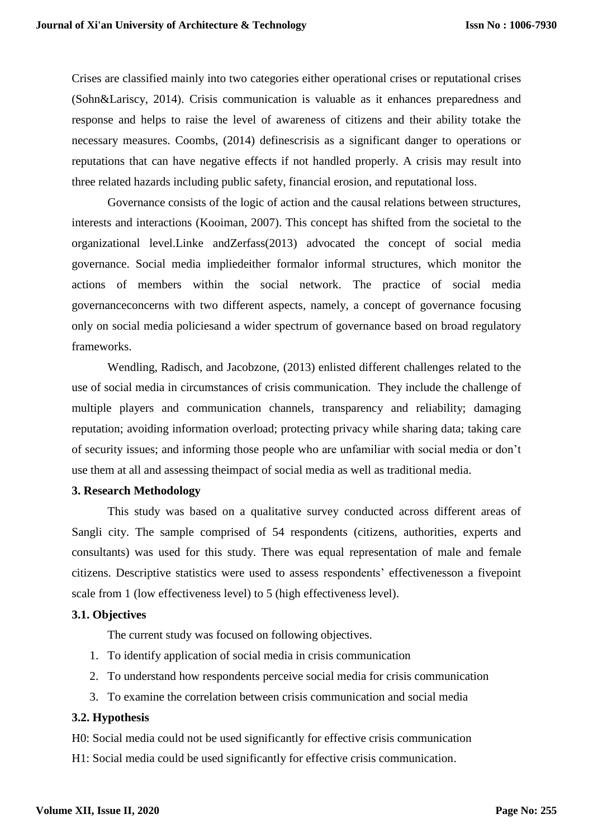Crises are classified mainly into two categories either operational crises or reputational crises (Sohn&Lariscy, 2014). Crisis communication is valuable as it enhances preparedness and response and helps to raise the level of awareness of citizens and their ability totake the necessary measures. Coombs, (2014) definescrisis as a significant danger to operations or reputations that can have negative effects if not handled properly. A crisis may result into three related hazards including public safety, financial erosion, and reputational loss.

Governance consists of the logic of action and the causal relations between structures, interests and interactions (Kooiman, 2007). This concept has shifted from the societal to the organizational level.Linke andZerfass(2013) advocated the concept of social media governance. Social media impliedeither formalor informal structures, which monitor the actions of members within the social network. The practice of social media governanceconcerns with two different aspects, namely, a concept of governance focusing only on social media policiesand a wider spectrum of governance based on broad regulatory frameworks.

Wendling, Radisch, and Jacobzone, (2013) enlisted different challenges related to the use of social media in circumstances of crisis communication. They include the challenge of multiple players and communication channels, transparency and reliability; damaging reputation; avoiding information overload; protecting privacy while sharing data; taking care of security issues; and informing those people who are unfamiliar with social media or don't use them at all and assessing theimpact of social media as well as traditional media.

#### **3. Research Methodology**

This study was based on a qualitative survey conducted across different areas of Sangli city. The sample comprised of 54 respondents (citizens, authorities, experts and consultants) was used for this study. There was equal representation of male and female citizens. Descriptive statistics were used to assess respondents' effectivenesson a fivepoint scale from 1 (low effectiveness level) to 5 (high effectiveness level).

#### **3.1. Objectives**

The current study was focused on following objectives.

- 1. To identify application of social media in crisis communication
- 2. To understand how respondents perceive social media for crisis communication
- 3. To examine the correlation between crisis communication and social media

## **3.2. Hypothesis**

H0: Social media could not be used significantly for effective crisis communication H1: Social media could be used significantly for effective crisis communication.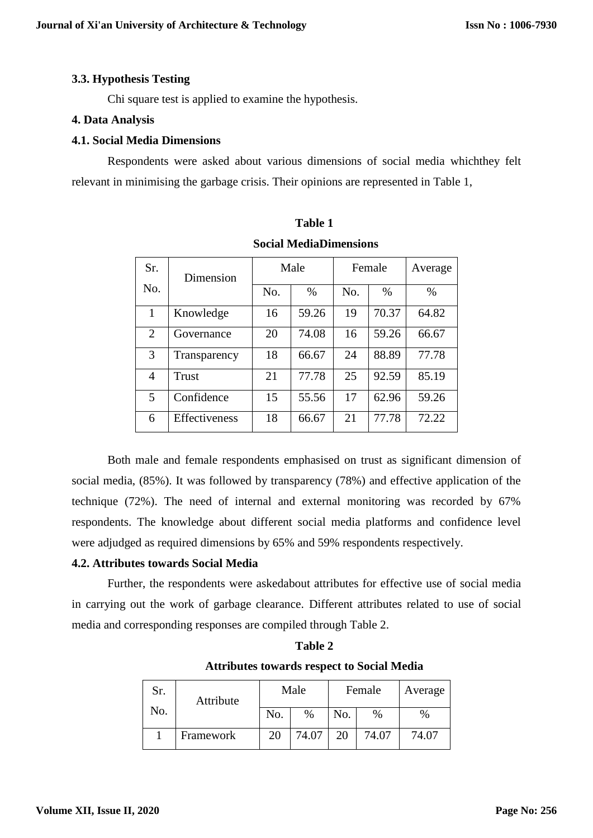# **3.3. Hypothesis Testing**

Chi square test is applied to examine the hypothesis.

## **4. Data Analysis**

## **4.1. Social Media Dimensions**

Respondents were asked about various dimensions of social media whichthey felt relevant in minimising the garbage crisis. Their opinions are represented in Table 1,

| Sr. | Dimension            | Male |       | Female |       | Average |
|-----|----------------------|------|-------|--------|-------|---------|
| No. |                      | No.  | $\%$  | No.    | $\%$  | $\%$    |
| 1   | Knowledge            | 16   | 59.26 | 19     | 70.37 | 64.82   |
| 2   | Governance           | 20   | 74.08 | 16     | 59.26 | 66.67   |
| 3   | Transparency         | 18   | 66.67 | 24     | 88.89 | 77.78   |
| 4   | <b>Trust</b>         | 21   | 77.78 | 25     | 92.59 | 85.19   |
| 5   | Confidence           | 15   | 55.56 | 17     | 62.96 | 59.26   |
| 6   | <b>Effectiveness</b> | 18   | 66.67 | 21     | 77.78 | 72.22   |

# **Table 1 Social MediaDimensions**

Both male and female respondents emphasised on trust as significant dimension of social media, (85%). It was followed by transparency (78%) and effective application of the technique (72%). The need of internal and external monitoring was recorded by 67% respondents. The knowledge about different social media platforms and confidence level were adjudged as required dimensions by 65% and 59% respondents respectively.

# **4.2. Attributes towards Social Media**

Further, the respondents were askedabout attributes for effective use of social media in carrying out the work of garbage clearance. Different attributes related to use of social media and corresponding responses are compiled through Table 2.

| Sr. | Attribute<br>No. | Male |       | Female |       | Average |
|-----|------------------|------|-------|--------|-------|---------|
|     |                  | No.  | %     | No.    | $\%$  | $\%$    |
|     | Framework        | 20   | 74.07 | 20     | 74.07 | 74.07   |

**Table 2 Attributes towards respect to Social Media**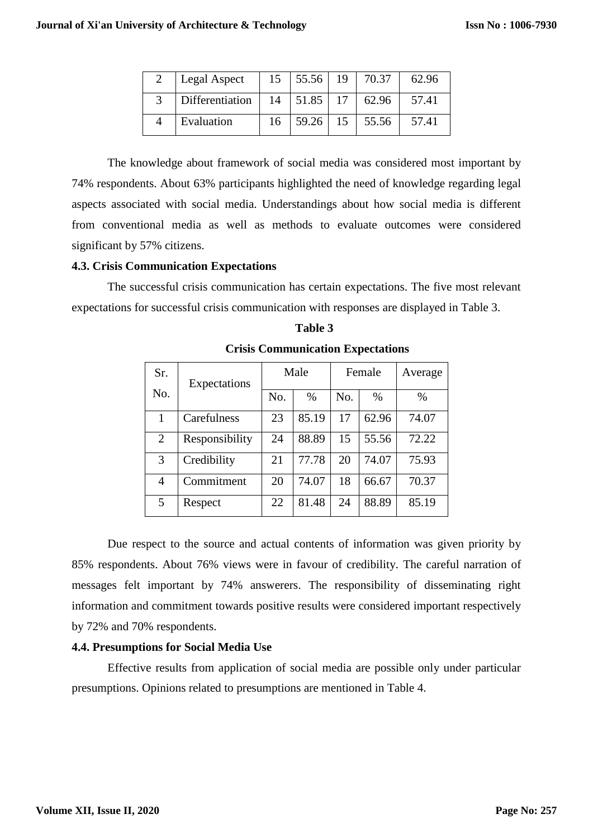| Legal Aspect    | 15 | 55.56        | 19 | 70.37 | 62.96 |
|-----------------|----|--------------|----|-------|-------|
| Differentiation |    | $14$   51.85 | 17 | 62.96 | 57.41 |
| Evaluation      | 16 | 59.26        | 15 | 55.56 | 57.41 |

The knowledge about framework of social media was considered most important by 74% respondents. About 63% participants highlighted the need of knowledge regarding legal aspects associated with social media. Understandings about how social media is different from conventional media as well as methods to evaluate outcomes were considered significant by 57% citizens.

# **4.3. Crisis Communication Expectations**

The successful crisis communication has certain expectations. The five most relevant expectations for successful crisis communication with responses are displayed in Table 3.

| Sr.            | Expectations   | Male |       | Female |       | Average |
|----------------|----------------|------|-------|--------|-------|---------|
| No.            |                | No.  | $\%$  | No.    | $\%$  | $\%$    |
| 1              | Carefulness    | 23   | 85.19 | 17     | 62.96 | 74.07   |
| $\overline{2}$ | Responsibility | 24   | 88.89 | 15     | 55.56 | 72.22   |
| 3              | Credibility    | 21   | 77.78 | 20     | 74.07 | 75.93   |
| $\overline{4}$ | Commitment     | 20   | 74.07 | 18     | 66.67 | 70.37   |
| 5              | Respect        | 22   | 81.48 | 24     | 88.89 | 85.19   |

### **Table 3**

 **Crisis Communication Expectations**

Due respect to the source and actual contents of information was given priority by 85% respondents. About 76% views were in favour of credibility. The careful narration of messages felt important by 74% answerers. The responsibility of disseminating right information and commitment towards positive results were considered important respectively by 72% and 70% respondents.

## **4.4. Presumptions for Social Media Use**

Effective results from application of social media are possible only under particular presumptions. Opinions related to presumptions are mentioned in Table 4.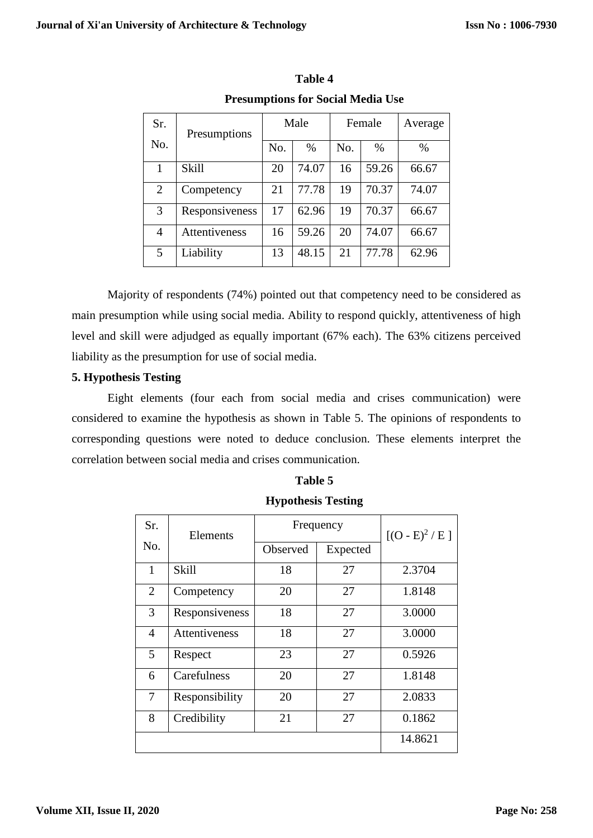| Sr.            | Presumptions   | Male |       | Female |       | Average |
|----------------|----------------|------|-------|--------|-------|---------|
| No.            |                | No.  | $\%$  | No.    | $\%$  | $\%$    |
| 1              | <b>Skill</b>   | 20   | 74.07 | 16     | 59.26 | 66.67   |
| $\overline{2}$ | Competency     | 21   | 77.78 | 19     | 70.37 | 74.07   |
| 3              | Responsiveness | 17   | 62.96 | 19     | 70.37 | 66.67   |
| 4              | Attentiveness  | 16   | 59.26 | 20     | 74.07 | 66.67   |
| 5              | Liability      | 13   | 48.15 | 21     | 77.78 | 62.96   |

**Table 4 Presumptions for Social Media Use**

Majority of respondents (74%) pointed out that competency need to be considered as main presumption while using social media. Ability to respond quickly, attentiveness of high level and skill were adjudged as equally important (67% each). The 63% citizens perceived liability as the presumption for use of social media.

# **5. Hypothesis Testing**

Eight elements (four each from social media and crises communication) were considered to examine the hypothesis as shown in Table 5. The opinions of respondents to corresponding questions were noted to deduce conclusion. These elements interpret the correlation between social media and crises communication.

# **Table 5**

| Sr.            | Elements       | Frequency | $[(O - E)^2 / E]$ |         |
|----------------|----------------|-----------|-------------------|---------|
| No.            |                | Observed  | Expected          |         |
| 1              | Skill          | 18        | 27                | 2.3704  |
| $\overline{2}$ | Competency     | 20        | 27                | 1.8148  |
| 3              | Responsiveness | 18        | 27                | 3.0000  |
| 4              | Attentiveness  | 18        | 27                | 3.0000  |
| 5              | Respect        | 23        | 27                | 0.5926  |
| 6              | Carefulness    | 20        | 27                | 1.8148  |
| 7              | Responsibility | 20        | 27                | 2.0833  |
| 8              | Credibility    | 21        | 27                | 0.1862  |
|                |                |           |                   | 14.8621 |

# **Hypothesis Testing**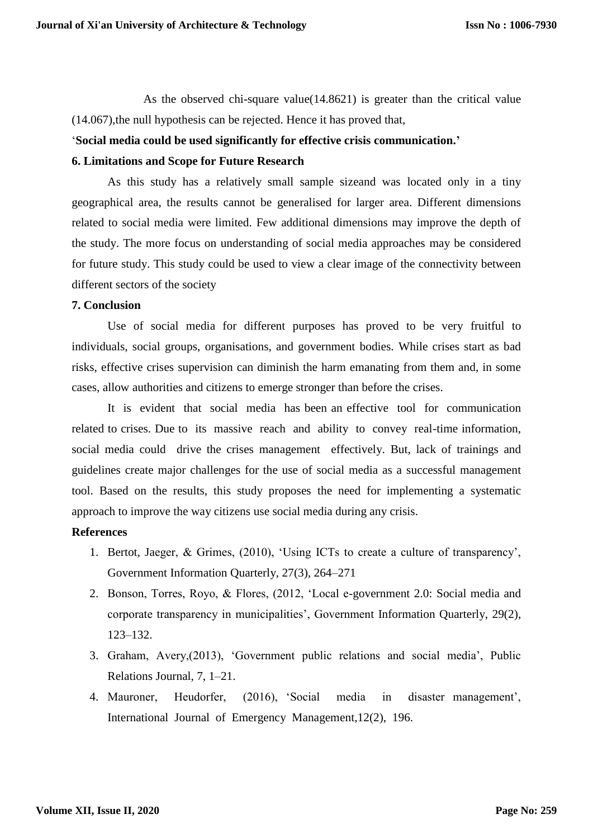As the observed chi-square value(14.8621) is greater than the critical value (14.067),the null hypothesis can be rejected. Hence it has proved that,

## '**Social media could be used significantly for effective crisis communication.'**

#### **6. Limitations and Scope for Future Research**

As this study has a relatively small sample sizeand was located only in a tiny geographical area, the results cannot be generalised for larger area. Different dimensions related to social media were limited. Few additional dimensions may improve the depth of the study. The more focus on understanding of social media approaches may be considered for future study. This study could be used to view a clear image of the connectivity between different sectors of the society

## **7. Conclusion**

Use of social media for different purposes has proved to be very fruitful to individuals, social groups, organisations, and government bodies. While crises start as bad risks, effective crises supervision can diminish the harm emanating from them and, in some cases, allow authorities and citizens to emerge stronger than before the crises.

It is evident that social media has been an effective tool for communication related to crises. Due to its massive reach and ability to convey real-time information, social media could drive the crises management effectively. But, lack of trainings and guidelines create major challenges for the use of social media as a successful management tool. Based on the results, this study proposes the need for implementing a systematic approach to improve the way citizens use social media during any crisis.

#### **References**

- 1. Bertot, Jaeger, & Grimes, (2010), 'Using ICTs to create a culture of transparency', Government Information Quarterly, 27(3), 264–271
- 2. Bonson, Torres, Royo, & Flores, (2012, 'Local e-government 2.0: Social media and corporate transparency in municipalities', Government Information Quarterly, 29(2), 123–132.
- 3. Graham, Avery,(2013), 'Government public relations and social media', Public Relations Journal, 7, 1–21.
- 4. Mauroner, Heudorfer, (2016), 'Social media in disaster management', International Journal of Emergency Management,12(2), 196.